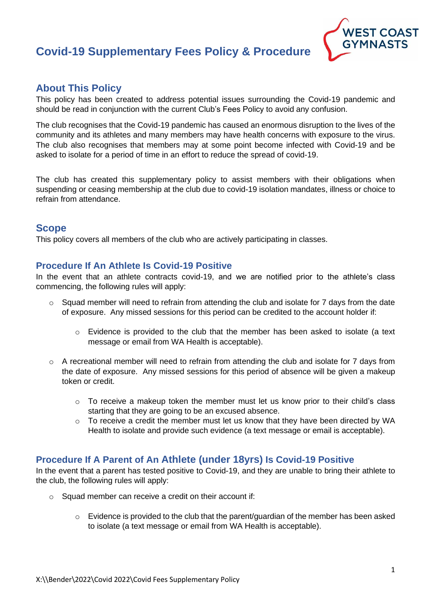# **Covid-19 Supplementary Fees Policy & Procedure**



# **About This Policy**

This policy has been created to address potential issues surrounding the Covid-19 pandemic and should be read in conjunction with the current Club's Fees Policy to avoid any confusion.

The club recognises that the Covid-19 pandemic has caused an enormous disruption to the lives of the community and its athletes and many members may have health concerns with exposure to the virus. The club also recognises that members may at some point become infected with Covid-19 and be asked to isolate for a period of time in an effort to reduce the spread of covid-19.

The club has created this supplementary policy to assist members with their obligations when suspending or ceasing membership at the club due to covid-19 isolation mandates, illness or choice to refrain from attendance.

## **Scope**

This policy covers all members of the club who are actively participating in classes.

#### **Procedure If An Athlete Is Covid-19 Positive**

In the event that an athlete contracts covid-19, and we are notified prior to the athlete's class commencing, the following rules will apply:

- $\circ$  Squad member will need to refrain from attending the club and isolate for 7 days from the date of exposure. Any missed sessions for this period can be credited to the account holder if:
	- $\circ$  Evidence is provided to the club that the member has been asked to isolate (a text message or email from WA Health is acceptable).
- o A recreational member will need to refrain from attending the club and isolate for 7 days from the date of exposure. Any missed sessions for this period of absence will be given a makeup token or credit.
	- $\circ$  To receive a makeup token the member must let us know prior to their child's class starting that they are going to be an excused absence.
	- $\circ$  To receive a credit the member must let us know that they have been directed by WA Health to isolate and provide such evidence (a text message or email is acceptable).

#### **Procedure If A Parent of An Athlete (under 18yrs) Is Covid-19 Positive**

In the event that a parent has tested positive to Covid-19, and they are unable to bring their athlete to the club, the following rules will apply:

- $\circ$  Squad member can receive a credit on their account if:
	- $\circ$  Evidence is provided to the club that the parent/guardian of the member has been asked to isolate (a text message or email from WA Health is acceptable).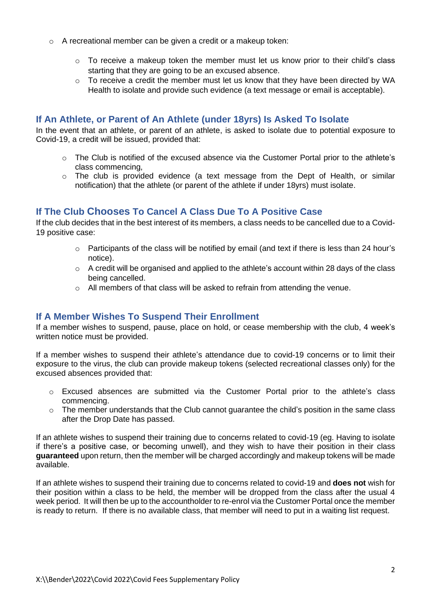- o A recreational member can be given a credit or a makeup token:
	- $\circ$  To receive a makeup token the member must let us know prior to their child's class starting that they are going to be an excused absence.
	- $\circ$  To receive a credit the member must let us know that they have been directed by WA Health to isolate and provide such evidence (a text message or email is acceptable).

### **If An Athlete, or Parent of An Athlete (under 18yrs) Is Asked To Isolate**

In the event that an athlete, or parent of an athlete, is asked to isolate due to potential exposure to Covid-19, a credit will be issued, provided that:

- $\circ$  The Club is notified of the excused absence via the Customer Portal prior to the athlete's class commencing,
- o The club is provided evidence (a text message from the Dept of Health, or similar notification) that the athlete (or parent of the athlete if under 18yrs) must isolate.

## **If The Club Chooses To Cancel A Class Due To A Positive Case**

If the club decides that in the best interest of its members, a class needs to be cancelled due to a Covid-19 positive case:

- $\circ$  Participants of the class will be notified by email (and text if there is less than 24 hour's notice).
- $\circ$  A credit will be organised and applied to the athlete's account within 28 days of the class being cancelled.
- o All members of that class will be asked to refrain from attending the venue.

#### **If A Member Wishes To Suspend Their Enrollment**

If a member wishes to suspend, pause, place on hold, or cease membership with the club, 4 week's written notice must be provided.

If a member wishes to suspend their athlete's attendance due to covid-19 concerns or to limit their exposure to the virus, the club can provide makeup tokens (selected recreational classes only) for the excused absences provided that:

- o Excused absences are submitted via the Customer Portal prior to the athlete's class commencing.
- o The member understands that the Club cannot guarantee the child's position in the same class after the Drop Date has passed.

If an athlete wishes to suspend their training due to concerns related to covid-19 (eg. Having to isolate if there's a positive case, or becoming unwell), and they wish to have their position in their class **guaranteed** upon return, then the member will be charged accordingly and makeup tokens will be made available.

If an athlete wishes to suspend their training due to concerns related to covid-19 and **does not** wish for their position within a class to be held, the member will be dropped from the class after the usual 4 week period. It will then be up to the accountholder to re-enrol via the Customer Portal once the member is ready to return. If there is no available class, that member will need to put in a waiting list request.